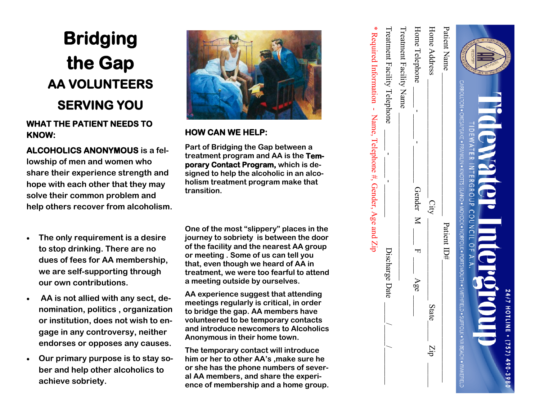## **Bridging the Gap AA VOLUNTEERS SERVING YOU**

## **WHAT THE PATIENT NEEDS TO KNOW:**

**ALCOHOLICS ANONYMOUS is a fellowship of men and women who share their experience strength and hope with each other that they may solve their common problem and help others recover from alcoholism.**

- **The only requirement is a desire to stop drinking. There are no dues of fees for AA membership, we are self-supporting through our own contributions.**
- **AA is not allied with any sect, denomination, politics , organization or institution, does not wish to engage in any controversy, neither endorses or opposes any causes.**
- **Our primary purpose is to stay sober and help other alcoholics to achieve sobriety.**



## **HOW CAN WE HELP:**

**Part of Bridging the Gap between a treatment program and AA is the Temporary Contact Program, which is designed to help the alcoholic in an alcoholism treatment program make that transition.**

**One of the most "slippery" places in the journey to sobriety is between the door of the facility and the nearest AA group or meeting . Some of us can tell you that, even though we heard of AA in treatment, we were too fearful to attend a meeting outside by ourselves.**

**AA experience suggest that attending meetings regularly is critical, in order to bridge the gap. AA members have volunteered to be temporary contacts and introduce newcomers to Alcoholics Anonymous in their home town.**

**The temporary contact will introduce him or her to other AA's ,make sure he or she has the phone numbers of several AA members, and share the experience of membership and a home group.**

| <b>RECOVER</b><br>CARBOLION • ANAVALION • ATO-NAVALION • INCORDION • ADANISSOCIIC • ADAISSOCIIL • ANAVALION • ACARDIO • ANAVALION • ANAVALION • ANAVALION • ANAVALION • ANAVALION • ANAVALION • ANAVALION • ANAVALION • ANAVALION • ANAVALION •<br><b>adkwa</b><br>TIDEWATER INTERGROUP COUNCIL OF A.A.<br><b>10.6.21</b><br><b>24/7 HOTLINI</b> | $(757) 490 - 3980$ |
|--------------------------------------------------------------------------------------------------------------------------------------------------------------------------------------------------------------------------------------------------------------------------------------------------------------------------------------------------|--------------------|
| Patient Name<br>Patient $ID#$                                                                                                                                                                                                                                                                                                                    |                    |
| Home Address<br>City<br>State<br>diZ                                                                                                                                                                                                                                                                                                             |                    |
| Home Telephone<br>Gender M<br>Age                                                                                                                                                                                                                                                                                                                |                    |
| Treatment Facility Name                                                                                                                                                                                                                                                                                                                          |                    |
| Treatment Facility Telephone<br>Discharge Date                                                                                                                                                                                                                                                                                                   |                    |
| * Required Information - Name, Telephone #, Gender, Age and $\overline{Lip}$                                                                                                                                                                                                                                                                     |                    |